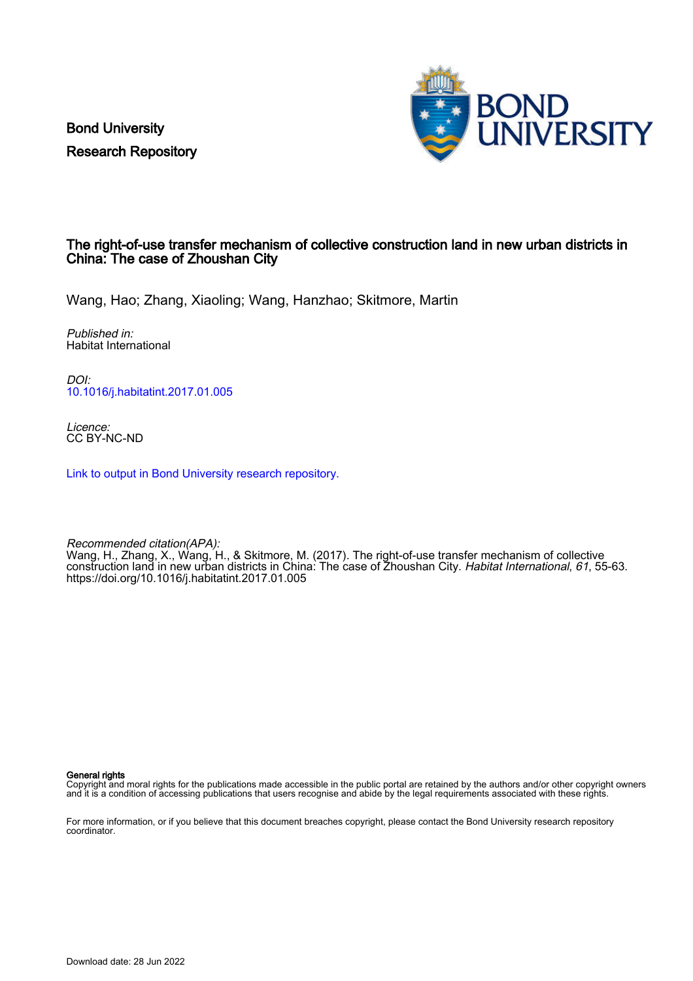Bond University Research Repository



# The right-of-use transfer mechanism of collective construction land in new urban districts in China: The case of Zhoushan City

Wang, Hao; Zhang, Xiaoling; Wang, Hanzhao; Skitmore, Martin

Published in: Habitat International

DOI: [10.1016/j.habitatint.2017.01.005](https://doi.org/10.1016/j.habitatint.2017.01.005)

Licence: CC BY-NC-ND

[Link to output in Bond University research repository.](https://research.bond.edu.au/en/publications/e1701d9c-798c-4cb5-94e2-41be2bf912cf)

Recommended citation(APA): Wang, H., Zhang, X., Wang, H., & Skitmore, M. (2017). The right-of-use transfer mechanism of collective construction land in new urban districts in China: The case of Zhoushan City. Habitat International, 61, 55-63. <https://doi.org/10.1016/j.habitatint.2017.01.005>

General rights

Copyright and moral rights for the publications made accessible in the public portal are retained by the authors and/or other copyright owners and it is a condition of accessing publications that users recognise and abide by the legal requirements associated with these rights.

For more information, or if you believe that this document breaches copyright, please contact the Bond University research repository coordinator.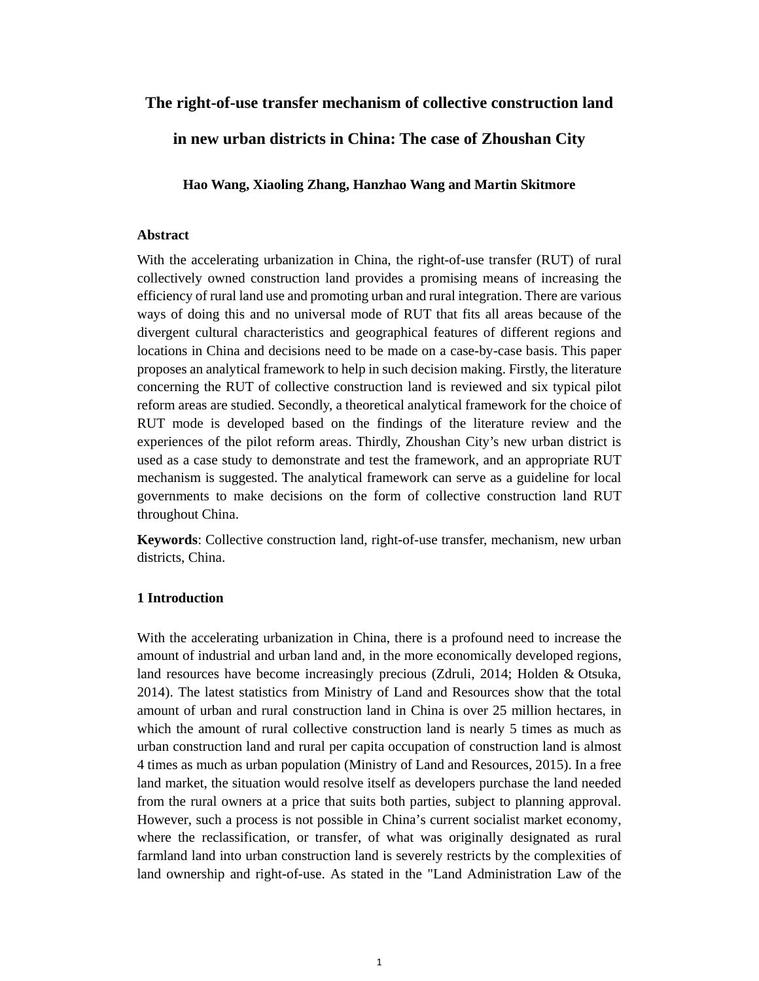# **The right-of-use transfer mechanism of collective construction land**

**in new urban districts in China: The case of Zhoushan City** 

**Hao Wang, Xiaoling Zhang, Hanzhao Wang and Martin Skitmore** 

#### **Abstract**

With the accelerating urbanization in China, the right-of-use transfer (RUT) of rural collectively owned construction land provides a promising means of increasing the efficiency of rural land use and promoting urban and rural integration. There are various ways of doing this and no universal mode of RUT that fits all areas because of the divergent cultural characteristics and geographical features of different regions and locations in China and decisions need to be made on a case-by-case basis. This paper proposes an analytical framework to help in such decision making. Firstly, the literature concerning the RUT of collective construction land is reviewed and six typical pilot reform areas are studied. Secondly, a theoretical analytical framework for the choice of RUT mode is developed based on the findings of the literature review and the experiences of the pilot reform areas. Thirdly, Zhoushan City's new urban district is used as a case study to demonstrate and test the framework, and an appropriate RUT mechanism is suggested. The analytical framework can serve as a guideline for local governments to make decisions on the form of collective construction land RUT throughout China.

**Keywords**: Collective construction land, right-of-use transfer, mechanism, new urban districts, China.

#### **1 Introduction**

With the accelerating urbanization in China, there is a profound need to increase the amount of industrial and urban land and, in the more economically developed regions, land resources have become increasingly precious (Zdruli, 2014; Holden & Otsuka, 2014). The latest statistics from Ministry of Land and Resources show that the total amount of urban and rural construction land in China is over 25 million hectares, in which the amount of rural collective construction land is nearly 5 times as much as urban construction land and rural per capita occupation of construction land is almost 4 times as much as urban population (Ministry of Land and Resources, 2015). In a free land market, the situation would resolve itself as developers purchase the land needed from the rural owners at a price that suits both parties, subject to planning approval. However, such a process is not possible in China's current socialist market economy, where the reclassification, or transfer, of what was originally designated as rural farmland land into urban construction land is severely restricts by the complexities of land ownership and right-of-use. As stated in the "Land Administration Law of the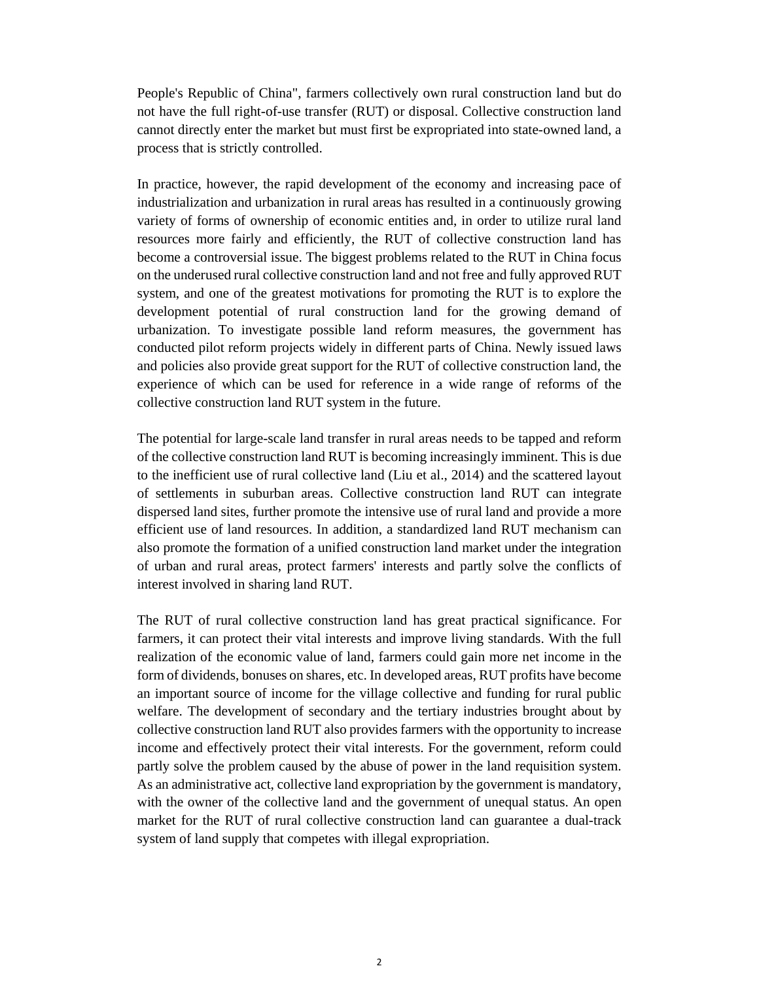People's Republic of China", farmers collectively own rural construction land but do not have the full right-of-use transfer (RUT) or disposal. Collective construction land cannot directly enter the market but must first be expropriated into state-owned land, a process that is strictly controlled.

In practice, however, the rapid development of the economy and increasing pace of industrialization and urbanization in rural areas has resulted in a continuously growing variety of forms of ownership of economic entities and, in order to utilize rural land resources more fairly and efficiently, the RUT of collective construction land has become a controversial issue. The biggest problems related to the RUT in China focus on the underused rural collective construction land and not free and fully approved RUT system, and one of the greatest motivations for promoting the RUT is to explore the development potential of rural construction land for the growing demand of urbanization. To investigate possible land reform measures, the government has conducted pilot reform projects widely in different parts of China. Newly issued laws and policies also provide great support for the RUT of collective construction land, the experience of which can be used for reference in a wide range of reforms of the collective construction land RUT system in the future.

The potential for large-scale land transfer in rural areas needs to be tapped and reform of the collective construction land RUT is becoming increasingly imminent. This is due to the inefficient use of rural collective land (Liu et al., 2014) and the scattered layout of settlements in suburban areas. Collective construction land RUT can integrate dispersed land sites, further promote the intensive use of rural land and provide a more efficient use of land resources. In addition, a standardized land RUT mechanism can also promote the formation of a unified construction land market under the integration of urban and rural areas, protect farmers' interests and partly solve the conflicts of interest involved in sharing land RUT.

The RUT of rural collective construction land has great practical significance. For farmers, it can protect their vital interests and improve living standards. With the full realization of the economic value of land, farmers could gain more net income in the form of dividends, bonuses on shares, etc. In developed areas, RUT profits have become an important source of income for the village collective and funding for rural public welfare. The development of secondary and the tertiary industries brought about by collective construction land RUT also provides farmers with the opportunity to increase income and effectively protect their vital interests. For the government, reform could partly solve the problem caused by the abuse of power in the land requisition system. As an administrative act, collective land expropriation by the government is mandatory, with the owner of the collective land and the government of unequal status. An open market for the RUT of rural collective construction land can guarantee a dual-track system of land supply that competes with illegal expropriation.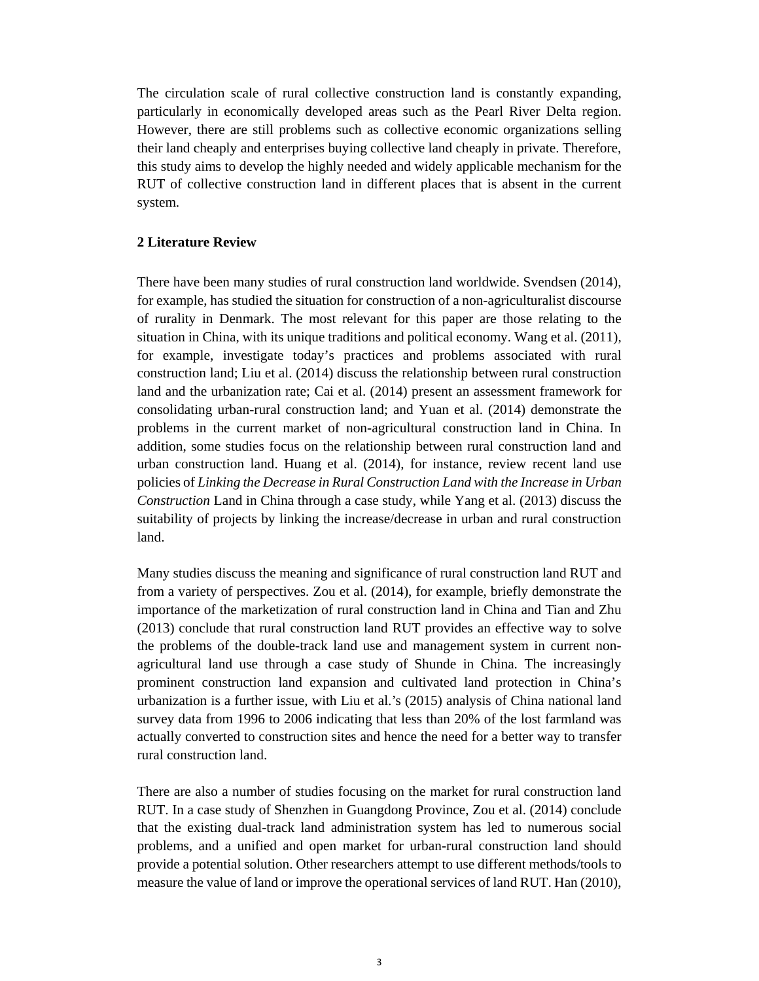The circulation scale of rural collective construction land is constantly expanding, particularly in economically developed areas such as the Pearl River Delta region. However, there are still problems such as collective economic organizations selling their land cheaply and enterprises buying collective land cheaply in private. Therefore, this study aims to develop the highly needed and widely applicable mechanism for the RUT of collective construction land in different places that is absent in the current system.

## **2 Literature Review**

There have been many studies of rural construction land worldwide. Svendsen (2014), for example, has studied the situation for construction of a non-agriculturalist discourse of rurality in Denmark. The most relevant for this paper are those relating to the situation in China, with its unique traditions and political economy. Wang et al. (2011), for example, investigate today's practices and problems associated with rural construction land; Liu et al. (2014) discuss the relationship between rural construction land and the urbanization rate; Cai et al. (2014) present an assessment framework for consolidating urban-rural construction land; and Yuan et al. (2014) demonstrate the problems in the current market of non-agricultural construction land in China. In addition, some studies focus on the relationship between rural construction land and urban construction land. Huang et al. (2014), for instance, review recent land use policies of *Linking the Decrease in Rural Construction Land with the Increase in Urban Construction* Land in China through a case study, while Yang et al. (2013) discuss the suitability of projects by linking the increase/decrease in urban and rural construction land.

Many studies discuss the meaning and significance of rural construction land RUT and from a variety of perspectives. Zou et al. (2014), for example, briefly demonstrate the importance of the marketization of rural construction land in China and Tian and Zhu (2013) conclude that rural construction land RUT provides an effective way to solve the problems of the double-track land use and management system in current nonagricultural land use through a case study of Shunde in China. The increasingly prominent construction land expansion and cultivated land protection in China's urbanization is a further issue, with Liu et al.'s (2015) analysis of China national land survey data from 1996 to 2006 indicating that less than 20% of the lost farmland was actually converted to construction sites and hence the need for a better way to transfer rural construction land.

There are also a number of studies focusing on the market for rural construction land RUT. In a case study of Shenzhen in Guangdong Province, Zou et al. (2014) conclude that the existing dual-track land administration system has led to numerous social problems, and a unified and open market for urban-rural construction land should provide a potential solution. Other researchers attempt to use different methods/tools to measure the value of land or improve the operational services of land RUT. Han (2010),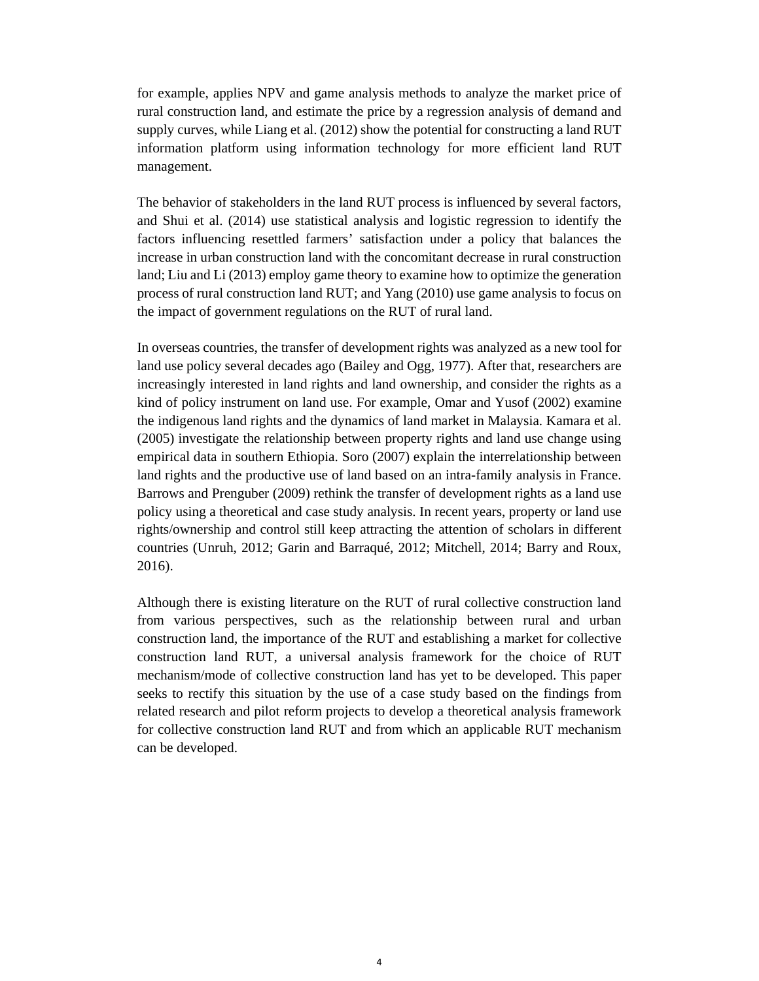for example, applies NPV and game analysis methods to analyze the market price of rural construction land, and estimate the price by a regression analysis of demand and supply curves, while Liang et al. (2012) show the potential for constructing a land RUT information platform using information technology for more efficient land RUT management.

The behavior of stakeholders in the land RUT process is influenced by several factors, and Shui et al. (2014) use statistical analysis and logistic regression to identify the factors influencing resettled farmers' satisfaction under a policy that balances the increase in urban construction land with the concomitant decrease in rural construction land; Liu and Li (2013) employ game theory to examine how to optimize the generation process of rural construction land RUT; and Yang (2010) use game analysis to focus on the impact of government regulations on the RUT of rural land.

In overseas countries, the transfer of development rights was analyzed as a new tool for land use policy several decades ago (Bailey and Ogg, 1977). After that, researchers are increasingly interested in land rights and land ownership, and consider the rights as a kind of policy instrument on land use. For example, Omar and Yusof (2002) examine the indigenous land rights and the dynamics of land market in Malaysia. Kamara et al. (2005) investigate the relationship between property rights and land use change using empirical data in southern Ethiopia. Soro (2007) explain the interrelationship between land rights and the productive use of land based on an intra-family analysis in France. Barrows and Prenguber (2009) rethink the transfer of development rights as a land use policy using a theoretical and case study analysis. In recent years, property or land use rights/ownership and control still keep attracting the attention of scholars in different countries (Unruh, 2012; Garin and Barraqué, 2012; Mitchell, 2014; Barry and Roux, 2016).

Although there is existing literature on the RUT of rural collective construction land from various perspectives, such as the relationship between rural and urban construction land, the importance of the RUT and establishing a market for collective construction land RUT, a universal analysis framework for the choice of RUT mechanism/mode of collective construction land has yet to be developed. This paper seeks to rectify this situation by the use of a case study based on the findings from related research and pilot reform projects to develop a theoretical analysis framework for collective construction land RUT and from which an applicable RUT mechanism can be developed.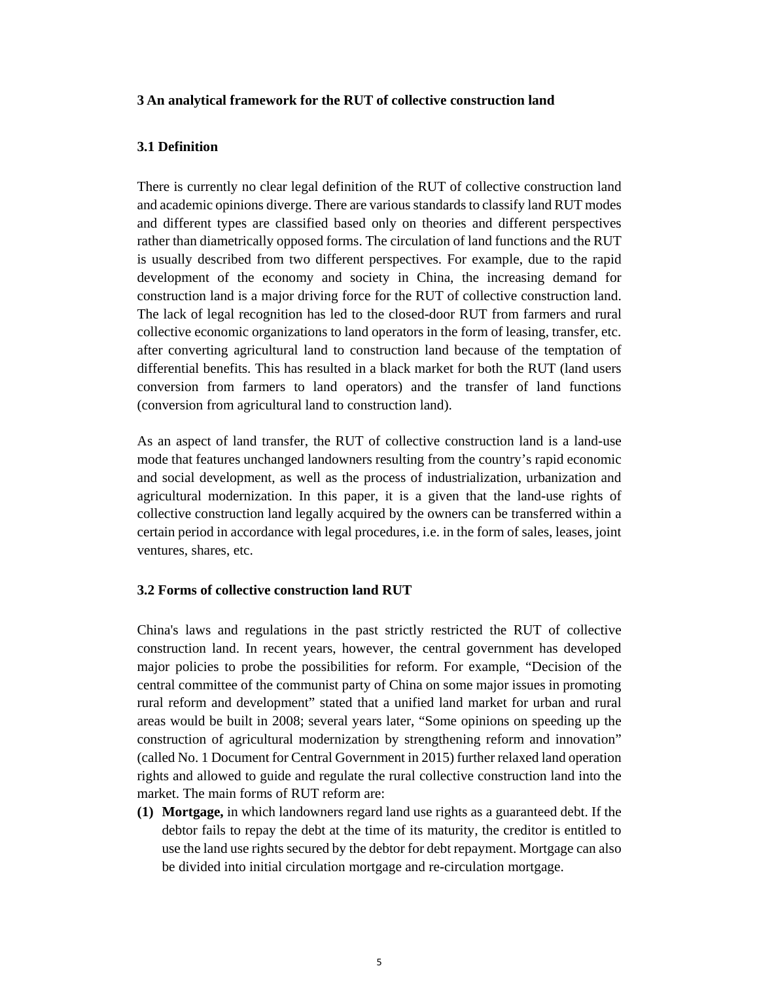#### **3 An analytical framework for the RUT of collective construction land**

## **3.1 Definition**

There is currently no clear legal definition of the RUT of collective construction land and academic opinions diverge. There are various standards to classify land RUT modes and different types are classified based only on theories and different perspectives rather than diametrically opposed forms. The circulation of land functions and the RUT is usually described from two different perspectives. For example, due to the rapid development of the economy and society in China, the increasing demand for construction land is a major driving force for the RUT of collective construction land. The lack of legal recognition has led to the closed-door RUT from farmers and rural collective economic organizations to land operators in the form of leasing, transfer, etc. after converting agricultural land to construction land because of the temptation of differential benefits. This has resulted in a black market for both the RUT (land users conversion from farmers to land operators) and the transfer of land functions (conversion from agricultural land to construction land).

As an aspect of land transfer, the RUT of collective construction land is a land-use mode that features unchanged landowners resulting from the country's rapid economic and social development, as well as the process of industrialization, urbanization and agricultural modernization. In this paper, it is a given that the land-use rights of collective construction land legally acquired by the owners can be transferred within a certain period in accordance with legal procedures, i.e. in the form of sales, leases, joint ventures, shares, etc.

### **3.2 Forms of collective construction land RUT**

China's laws and regulations in the past strictly restricted the RUT of collective construction land. In recent years, however, the central government has developed major policies to probe the possibilities for reform. For example, "Decision of the central committee of the communist party of China on some major issues in promoting rural reform and development" stated that a unified land market for urban and rural areas would be built in 2008; several years later, "Some opinions on speeding up the construction of agricultural modernization by strengthening reform and innovation" (called No. 1 Document for Central Government in 2015) further relaxed land operation rights and allowed to guide and regulate the rural collective construction land into the market. The main forms of RUT reform are:

**(1) Mortgage,** in which landowners regard land use rights as a guaranteed debt. If the debtor fails to repay the debt at the time of its maturity, the creditor is entitled to use the land use rights secured by the debtor for debt repayment. Mortgage can also be divided into initial circulation mortgage and re-circulation mortgage.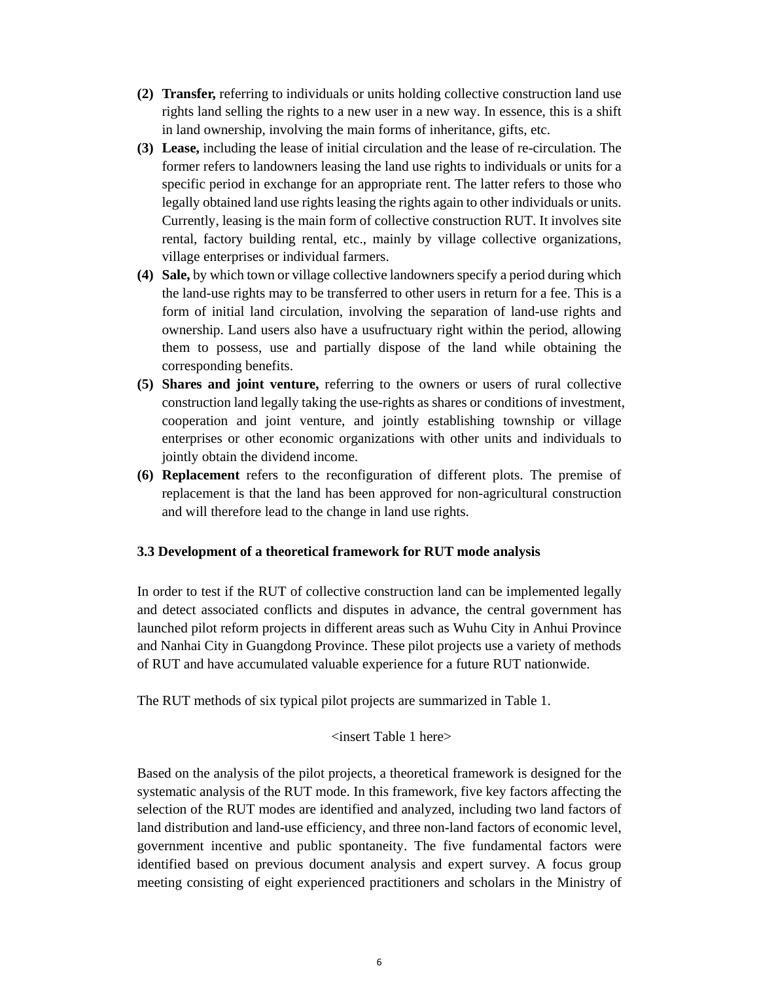- **(2) Transfer,** referring to individuals or units holding collective construction land use rights land selling the rights to a new user in a new way. In essence, this is a shift in land ownership, involving the main forms of inheritance, gifts, etc.
- **(3) Lease,** including the lease of initial circulation and the lease of re-circulation. The former refers to landowners leasing the land use rights to individuals or units for a specific period in exchange for an appropriate rent. The latter refers to those who legally obtained land use rights leasing the rights again to other individuals or units. Currently, leasing is the main form of collective construction RUT. It involves site rental, factory building rental, etc., mainly by village collective organizations, village enterprises or individual farmers.
- **(4) Sale,** by which town or village collective landowners specify a period during which the land-use rights may to be transferred to other users in return for a fee. This is a form of initial land circulation, involving the separation of land-use rights and ownership. Land users also have a usufructuary right within the period, allowing them to possess, use and partially dispose of the land while obtaining the corresponding benefits.
- **(5) Shares and joint venture,** referring to the owners or users of rural collective construction land legally taking the use-rights as shares or conditions of investment, cooperation and joint venture, and jointly establishing township or village enterprises or other economic organizations with other units and individuals to jointly obtain the dividend income.
- **(6) Replacement** refers to the reconfiguration of different plots. The premise of replacement is that the land has been approved for non-agricultural construction and will therefore lead to the change in land use rights.

# **3.3 Development of a theoretical framework for RUT mode analysis**

In order to test if the RUT of collective construction land can be implemented legally and detect associated conflicts and disputes in advance, the central government has launched pilot reform projects in different areas such as Wuhu City in Anhui Province and Nanhai City in Guangdong Province. These pilot projects use a variety of methods of RUT and have accumulated valuable experience for a future RUT nationwide.

The RUT methods of six typical pilot projects are summarized in Table 1.

# <insert Table 1 here>

Based on the analysis of the pilot projects, a theoretical framework is designed for the systematic analysis of the RUT mode. In this framework, five key factors affecting the selection of the RUT modes are identified and analyzed, including two land factors of land distribution and land-use efficiency, and three non-land factors of economic level, government incentive and public spontaneity. The five fundamental factors were identified based on previous document analysis and expert survey. A focus group meeting consisting of eight experienced practitioners and scholars in the Ministry of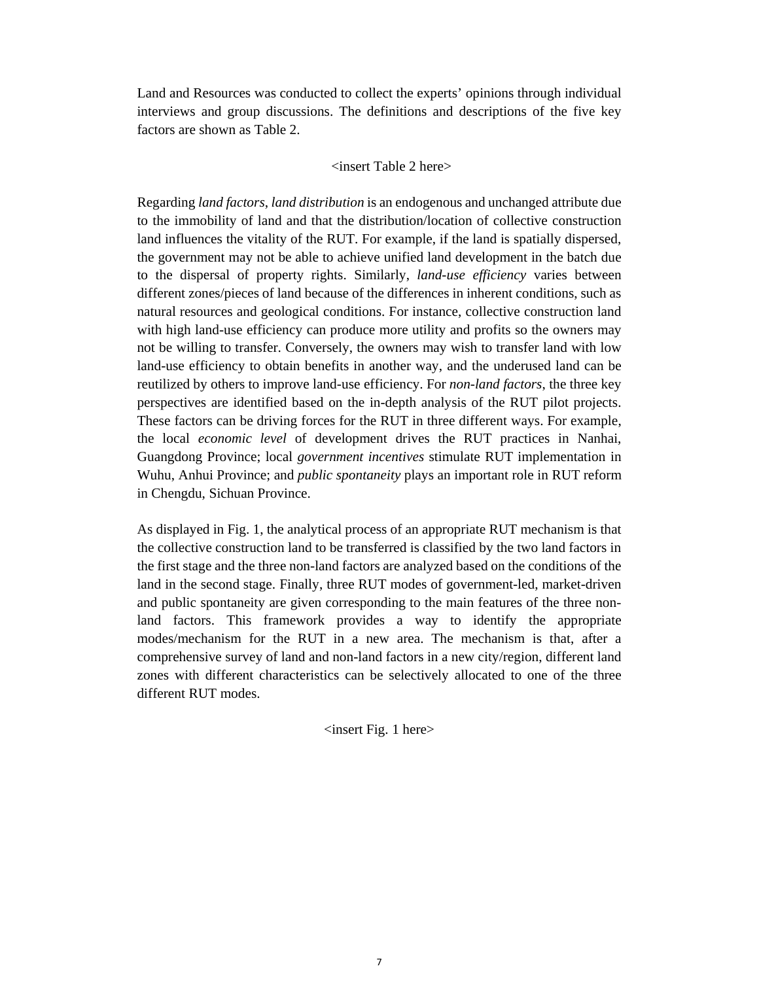Land and Resources was conducted to collect the experts' opinions through individual interviews and group discussions. The definitions and descriptions of the five key factors are shown as Table 2.

#### <insert Table 2 here>

Regarding *land factors*, *land distribution* is an endogenous and unchanged attribute due to the immobility of land and that the distribution/location of collective construction land influences the vitality of the RUT. For example, if the land is spatially dispersed, the government may not be able to achieve unified land development in the batch due to the dispersal of property rights. Similarly, *land-use efficiency* varies between different zones/pieces of land because of the differences in inherent conditions, such as natural resources and geological conditions. For instance, collective construction land with high land-use efficiency can produce more utility and profits so the owners may not be willing to transfer. Conversely, the owners may wish to transfer land with low land-use efficiency to obtain benefits in another way, and the underused land can be reutilized by others to improve land-use efficiency. For *non-land factors*, the three key perspectives are identified based on the in-depth analysis of the RUT pilot projects. These factors can be driving forces for the RUT in three different ways. For example, the local *economic level* of development drives the RUT practices in Nanhai, Guangdong Province; local *government incentives* stimulate RUT implementation in Wuhu, Anhui Province; and *public spontaneity* plays an important role in RUT reform in Chengdu, Sichuan Province.

As displayed in Fig. 1, the analytical process of an appropriate RUT mechanism is that the collective construction land to be transferred is classified by the two land factors in the first stage and the three non-land factors are analyzed based on the conditions of the land in the second stage. Finally, three RUT modes of government-led, market-driven and public spontaneity are given corresponding to the main features of the three nonland factors. This framework provides a way to identify the appropriate modes/mechanism for the RUT in a new area. The mechanism is that, after a comprehensive survey of land and non-land factors in a new city/region, different land zones with different characteristics can be selectively allocated to one of the three different RUT modes.

 $\langle$ insert Fig. 1 here $>$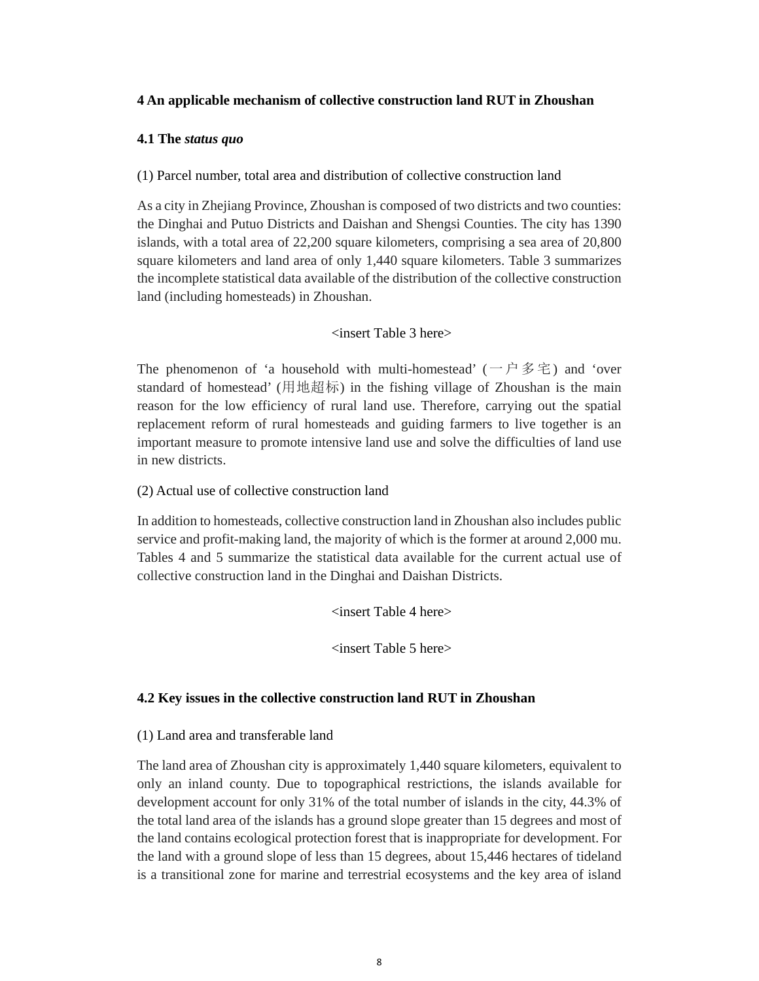## **4 An applicable mechanism of collective construction land RUT in Zhoushan**

### **4.1 The** *status quo*

(1) Parcel number, total area and distribution of collective construction land

As a city in Zhejiang Province, Zhoushan is composed of two districts and two counties: the Dinghai and Putuo Districts and Daishan and Shengsi Counties. The city has 1390 islands, with a total area of 22,200 square kilometers, comprising a sea area of 20,800 square kilometers and land area of only 1,440 square kilometers. Table 3 summarizes the incomplete statistical data available of the distribution of the collective construction land (including homesteads) in Zhoushan.

## <insert Table 3 here>

The phenomenon of 'a household with multi-homestead' (一户多宅) and 'over standard of homestead' (用地超标) in the fishing village of Zhoushan is the main reason for the low efficiency of rural land use. Therefore, carrying out the spatial replacement reform of rural homesteads and guiding farmers to live together is an important measure to promote intensive land use and solve the difficulties of land use in new districts.

(2) Actual use of collective construction land

In addition to homesteads, collective construction land in Zhoushan also includes public service and profit-making land, the majority of which is the former at around 2,000 mu. Tables 4 and 5 summarize the statistical data available for the current actual use of collective construction land in the Dinghai and Daishan Districts.

<insert Table 4 here>

<insert Table 5 here>

# **4.2 Key issues in the collective construction land RUT in Zhoushan**

# (1) Land area and transferable land

The land area of Zhoushan city is approximately 1,440 square kilometers, equivalent to only an inland county. Due to topographical restrictions, the islands available for development account for only 31% of the total number of islands in the city, 44.3% of the total land area of the islands has a ground slope greater than 15 degrees and most of the land contains ecological protection forest that is inappropriate for development. For the land with a ground slope of less than 15 degrees, about 15,446 hectares of tideland is a transitional zone for marine and terrestrial ecosystems and the key area of island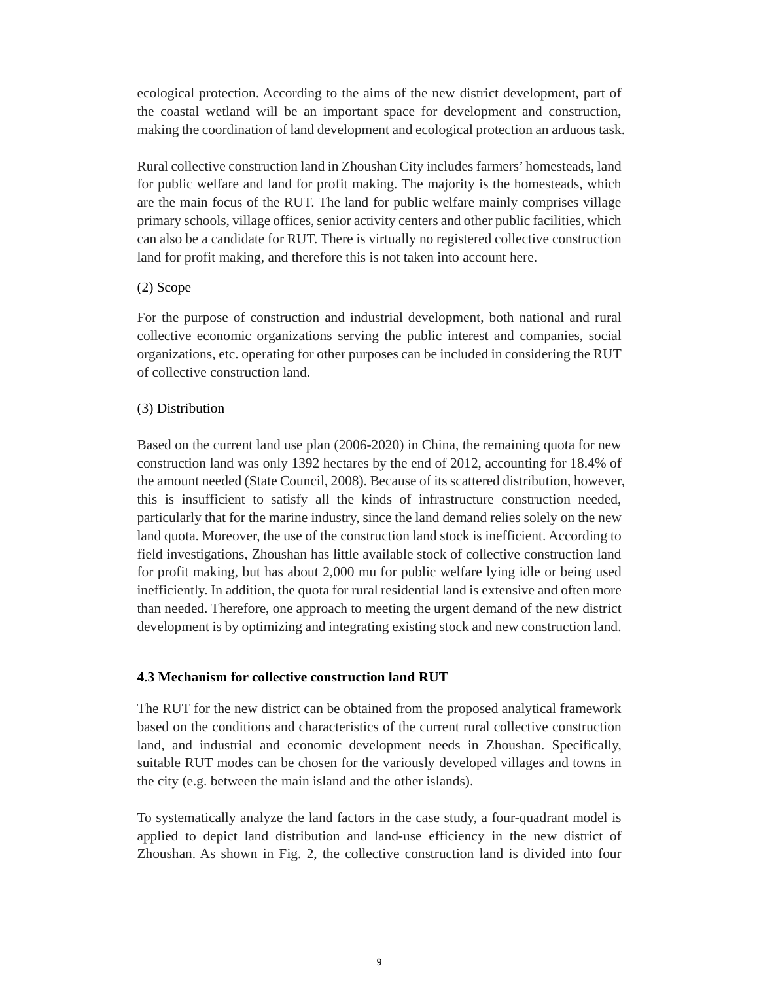ecological protection. According to the aims of the new district development, part of the coastal wetland will be an important space for development and construction, making the coordination of land development and ecological protection an arduous task.

Rural collective construction land in Zhoushan City includes farmers' homesteads, land for public welfare and land for profit making. The majority is the homesteads, which are the main focus of the RUT. The land for public welfare mainly comprises village primary schools, village offices, senior activity centers and other public facilities, which can also be a candidate for RUT. There is virtually no registered collective construction land for profit making, and therefore this is not taken into account here.

## (2) Scope

For the purpose of construction and industrial development, both national and rural collective economic organizations serving the public interest and companies, social organizations, etc. operating for other purposes can be included in considering the RUT of collective construction land.

# (3) Distribution

Based on the current land use plan (2006-2020) in China, the remaining quota for new construction land was only 1392 hectares by the end of 2012, accounting for 18.4% of the amount needed (State Council, 2008). Because of its scattered distribution, however, this is insufficient to satisfy all the kinds of infrastructure construction needed, particularly that for the marine industry, since the land demand relies solely on the new land quota. Moreover, the use of the construction land stock is inefficient. According to field investigations, Zhoushan has little available stock of collective construction land for profit making, but has about 2,000 mu for public welfare lying idle or being used inefficiently. In addition, the quota for rural residential land is extensive and often more than needed. Therefore, one approach to meeting the urgent demand of the new district development is by optimizing and integrating existing stock and new construction land.

# **4.3 Mechanism for collective construction land RUT**

The RUT for the new district can be obtained from the proposed analytical framework based on the conditions and characteristics of the current rural collective construction land, and industrial and economic development needs in Zhoushan. Specifically, suitable RUT modes can be chosen for the variously developed villages and towns in the city (e.g. between the main island and the other islands).

To systematically analyze the land factors in the case study, a four-quadrant model is applied to depict land distribution and land-use efficiency in the new district of Zhoushan. As shown in Fig. 2, the collective construction land is divided into four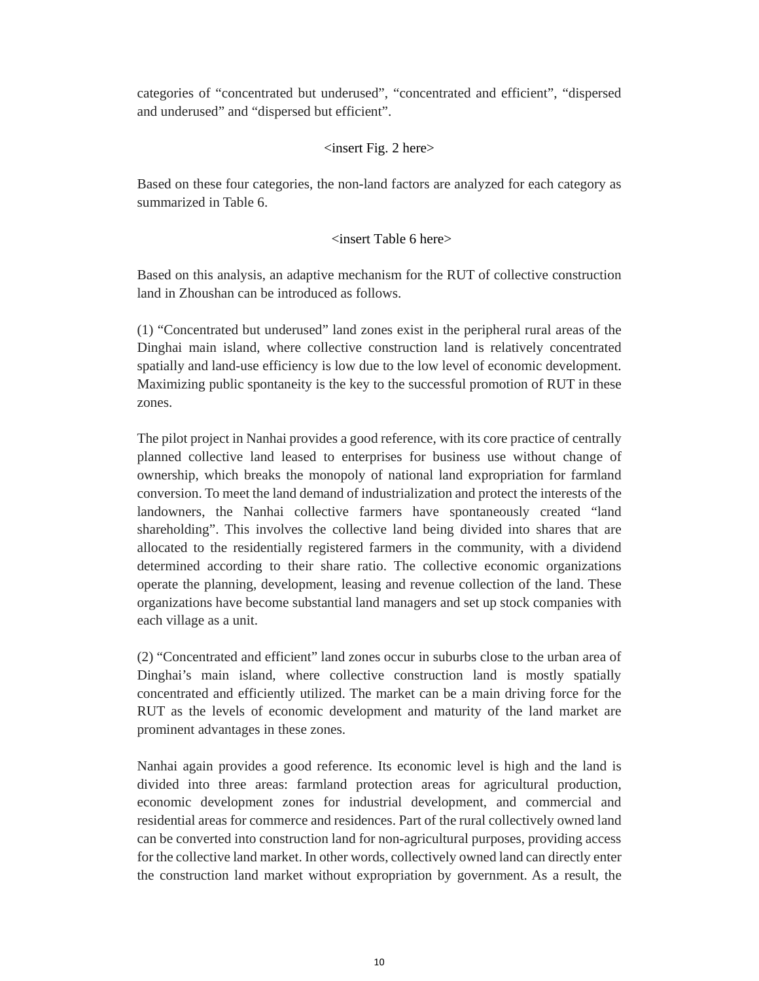categories of "concentrated but underused", "concentrated and efficient", "dispersed and underused" and "dispersed but efficient".

# $\langle$  insert Fig. 2 here $>$

Based on these four categories, the non-land factors are analyzed for each category as summarized in Table 6.

# <insert Table 6 here>

Based on this analysis, an adaptive mechanism for the RUT of collective construction land in Zhoushan can be introduced as follows.

(1) "Concentrated but underused" land zones exist in the peripheral rural areas of the Dinghai main island, where collective construction land is relatively concentrated spatially and land-use efficiency is low due to the low level of economic development. Maximizing public spontaneity is the key to the successful promotion of RUT in these zones.

The pilot project in Nanhai provides a good reference, with its core practice of centrally planned collective land leased to enterprises for business use without change of ownership, which breaks the monopoly of national land expropriation for farmland conversion. To meet the land demand of industrialization and protect the interests of the landowners, the Nanhai collective farmers have spontaneously created "land shareholding". This involves the collective land being divided into shares that are allocated to the residentially registered farmers in the community, with a dividend determined according to their share ratio. The collective economic organizations operate the planning, development, leasing and revenue collection of the land. These organizations have become substantial land managers and set up stock companies with each village as a unit.

(2) "Concentrated and efficient" land zones occur in suburbs close to the urban area of Dinghai's main island, where collective construction land is mostly spatially concentrated and efficiently utilized. The market can be a main driving force for the RUT as the levels of economic development and maturity of the land market are prominent advantages in these zones.

Nanhai again provides a good reference. Its economic level is high and the land is divided into three areas: farmland protection areas for agricultural production, economic development zones for industrial development, and commercial and residential areas for commerce and residences. Part of the rural collectively owned land can be converted into construction land for non-agricultural purposes, providing access for the collective land market. In other words, collectively owned land can directly enter the construction land market without expropriation by government. As a result, the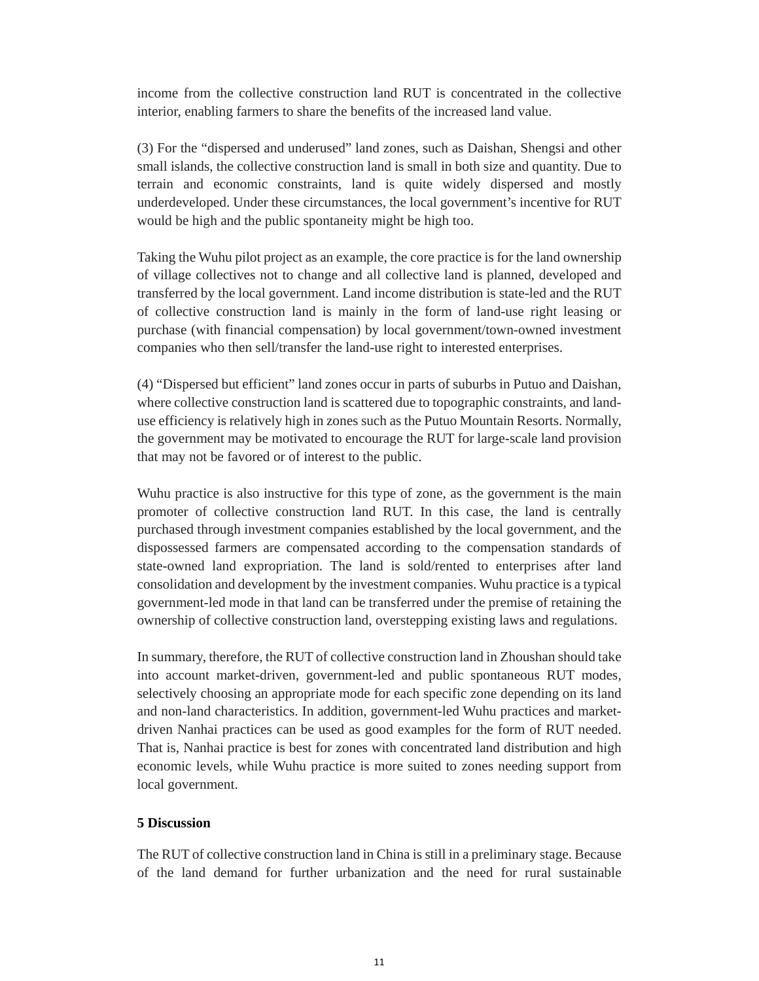income from the collective construction land RUT is concentrated in the collective interior, enabling farmers to share the benefits of the increased land value.

(3) For the "dispersed and underused" land zones, such as Daishan, Shengsi and other small islands, the collective construction land is small in both size and quantity. Due to terrain and economic constraints, land is quite widely dispersed and mostly underdeveloped. Under these circumstances, the local government's incentive for RUT would be high and the public spontaneity might be high too.

Taking the Wuhu pilot project as an example, the core practice is for the land ownership of village collectives not to change and all collective land is planned, developed and transferred by the local government. Land income distribution is state-led and the RUT of collective construction land is mainly in the form of land-use right leasing or purchase (with financial compensation) by local government/town-owned investment companies who then sell/transfer the land-use right to interested enterprises.

(4) "Dispersed but efficient" land zones occur in parts of suburbs in Putuo and Daishan, where collective construction land is scattered due to topographic constraints, and landuse efficiency is relatively high in zones such as the Putuo Mountain Resorts. Normally, the government may be motivated to encourage the RUT for large-scale land provision that may not be favored or of interest to the public.

Wuhu practice is also instructive for this type of zone, as the government is the main promoter of collective construction land RUT. In this case, the land is centrally purchased through investment companies established by the local government, and the dispossessed farmers are compensated according to the compensation standards of state-owned land expropriation. The land is sold/rented to enterprises after land consolidation and development by the investment companies. Wuhu practice is a typical government-led mode in that land can be transferred under the premise of retaining the ownership of collective construction land, overstepping existing laws and regulations.

In summary, therefore, the RUT of collective construction land in Zhoushan should take into account market-driven, government-led and public spontaneous RUT modes, selectively choosing an appropriate mode for each specific zone depending on its land and non-land characteristics. In addition, government-led Wuhu practices and marketdriven Nanhai practices can be used as good examples for the form of RUT needed. That is, Nanhai practice is best for zones with concentrated land distribution and high economic levels, while Wuhu practice is more suited to zones needing support from local government.

### **5 Discussion**

The RUT of collective construction land in China is still in a preliminary stage. Because of the land demand for further urbanization and the need for rural sustainable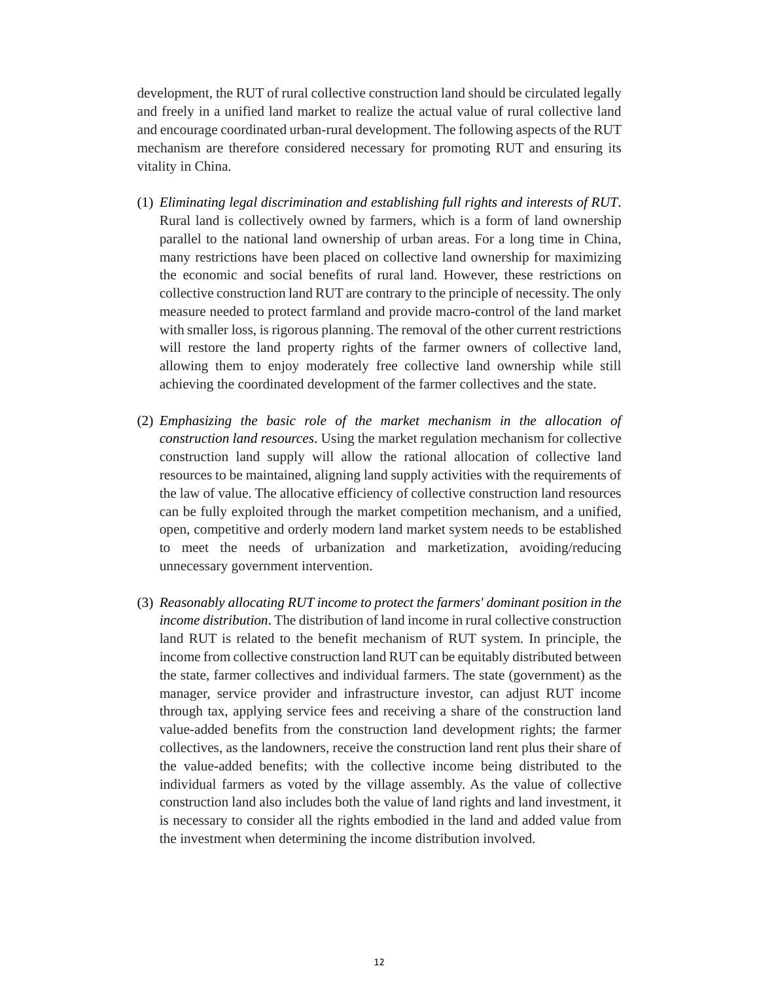development, the RUT of rural collective construction land should be circulated legally and freely in a unified land market to realize the actual value of rural collective land and encourage coordinated urban-rural development. The following aspects of the RUT mechanism are therefore considered necessary for promoting RUT and ensuring its vitality in China.

- (1) *Eliminating legal discrimination and establishing full rights and interests of RUT*. Rural land is collectively owned by farmers, which is a form of land ownership parallel to the national land ownership of urban areas. For a long time in China, many restrictions have been placed on collective land ownership for maximizing the economic and social benefits of rural land. However, these restrictions on collective construction land RUT are contrary to the principle of necessity. The only measure needed to protect farmland and provide macro-control of the land market with smaller loss, is rigorous planning. The removal of the other current restrictions will restore the land property rights of the farmer owners of collective land, allowing them to enjoy moderately free collective land ownership while still achieving the coordinated development of the farmer collectives and the state.
- (2) *Emphasizing the basic role of the market mechanism in the allocation of construction land resources*. Using the market regulation mechanism for collective construction land supply will allow the rational allocation of collective land resources to be maintained, aligning land supply activities with the requirements of the law of value. The allocative efficiency of collective construction land resources can be fully exploited through the market competition mechanism, and a unified, open, competitive and orderly modern land market system needs to be established to meet the needs of urbanization and marketization, avoiding/reducing unnecessary government intervention.
- (3) *Reasonably allocating RUT income to protect the farmers' dominant position in the income distribution*. The distribution of land income in rural collective construction land RUT is related to the benefit mechanism of RUT system. In principle, the income from collective construction land RUT can be equitably distributed between the state, farmer collectives and individual farmers. The state (government) as the manager, service provider and infrastructure investor, can adjust RUT income through tax, applying service fees and receiving a share of the construction land value-added benefits from the construction land development rights; the farmer collectives, as the landowners, receive the construction land rent plus their share of the value-added benefits; with the collective income being distributed to the individual farmers as voted by the village assembly. As the value of collective construction land also includes both the value of land rights and land investment, it is necessary to consider all the rights embodied in the land and added value from the investment when determining the income distribution involved.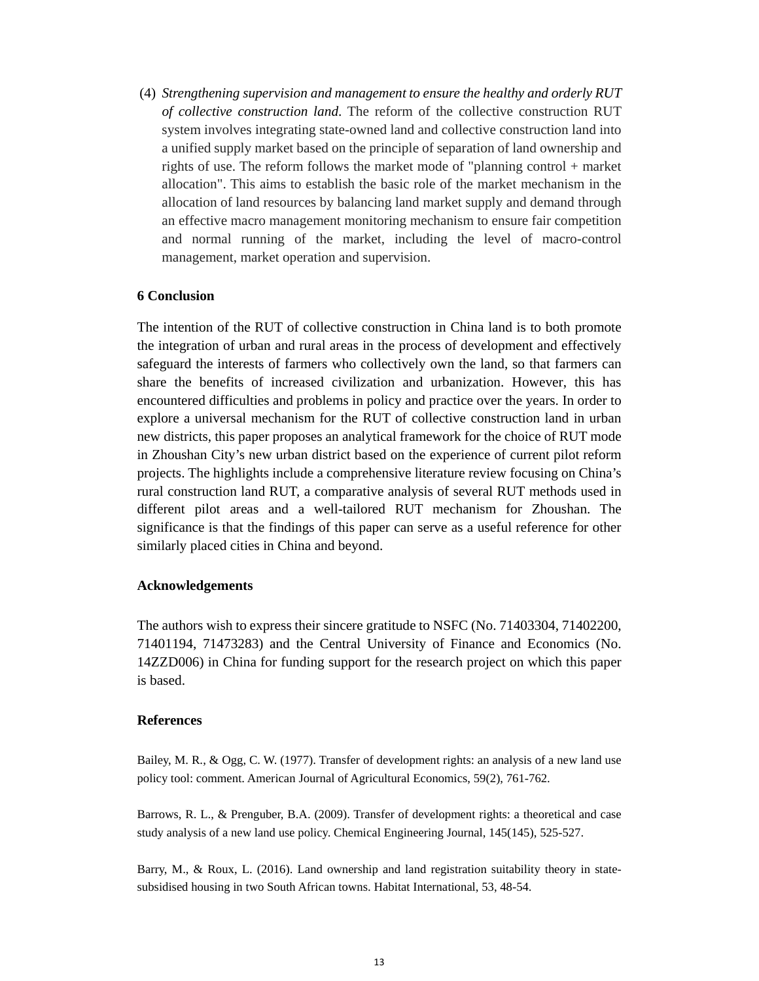(4) *Strengthening supervision and management to ensure the healthy and orderly RUT of collective construction land*. The reform of the collective construction RUT system involves integrating state-owned land and collective construction land into a unified supply market based on the principle of separation of land ownership and rights of use. The reform follows the market mode of "planning control + market allocation". This aims to establish the basic role of the market mechanism in the allocation of land resources by balancing land market supply and demand through an effective macro management monitoring mechanism to ensure fair competition and normal running of the market, including the level of macro-control management, market operation and supervision.

## **6 Conclusion**

The intention of the RUT of collective construction in China land is to both promote the integration of urban and rural areas in the process of development and effectively safeguard the interests of farmers who collectively own the land, so that farmers can share the benefits of increased civilization and urbanization. However, this has encountered difficulties and problems in policy and practice over the years. In order to explore a universal mechanism for the RUT of collective construction land in urban new districts, this paper proposes an analytical framework for the choice of RUT mode in Zhoushan City's new urban district based on the experience of current pilot reform projects. The highlights include a comprehensive literature review focusing on China's rural construction land RUT, a comparative analysis of several RUT methods used in different pilot areas and a well-tailored RUT mechanism for Zhoushan. The significance is that the findings of this paper can serve as a useful reference for other similarly placed cities in China and beyond.

### **Acknowledgements**

The authors wish to express their sincere gratitude to NSFC (No. 71403304, 71402200, 71401194, 71473283) and the Central University of Finance and Economics (No. 14ZZD006) in China for funding support for the research project on which this paper is based.

#### **References**

Bailey, M. R., & Ogg, C. W. (1977). Transfer of development rights: an analysis of a new land use policy tool: comment. American Journal of Agricultural Economics, 59(2), 761-762.

Barrows, R. L., & Prenguber, B.A. (2009). Transfer of development rights: a theoretical and case study analysis of a new land use policy. Chemical Engineering Journal, 145(145), 525-527.

Barry, M., & Roux, L. (2016). Land ownership and land registration suitability theory in statesubsidised housing in two South African towns. Habitat International, 53, 48-54.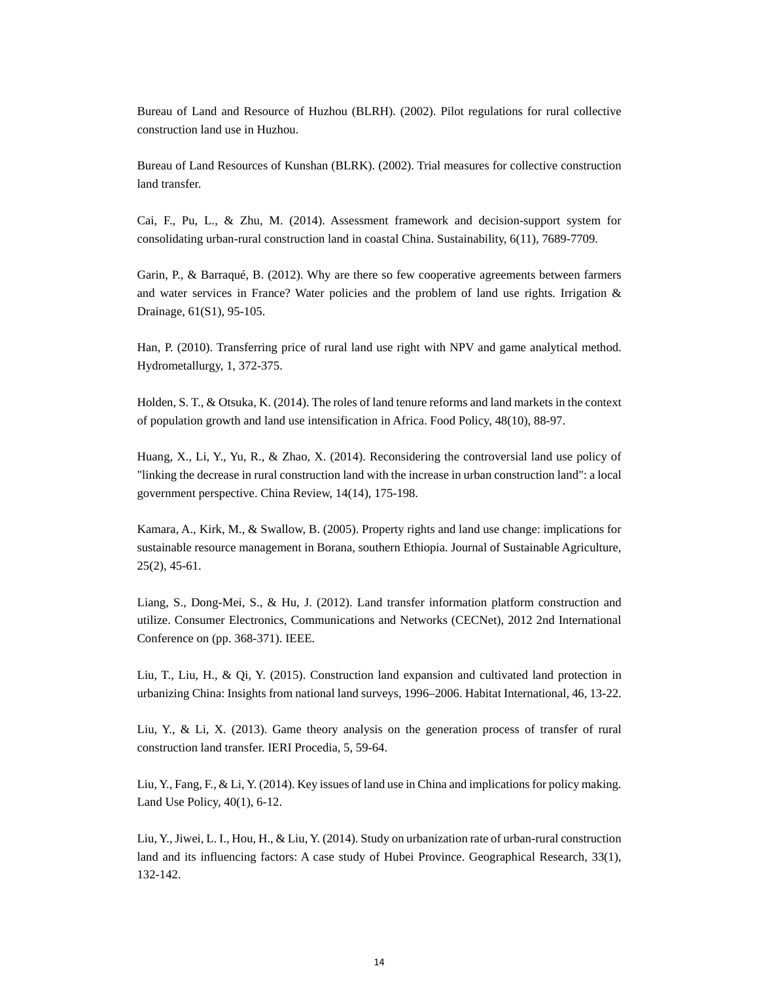Bureau of Land and Resource of Huzhou (BLRH). (2002). Pilot regulations for rural collective construction land use in Huzhou.

Bureau of Land Resources of Kunshan (BLRK). (2002). Trial measures for collective construction land transfer.

Cai, F., Pu, L., & Zhu, M. (2014). Assessment framework and decision-support system for consolidating urban-rural construction land in coastal China. Sustainability, 6(11), 7689-7709.

Garin, P., & Barraqué, B. (2012). Why are there so few cooperative agreements between farmers and water services in France? Water policies and the problem of land use rights. Irrigation & Drainage, 61(S1), 95-105.

Han, P. (2010). Transferring price of rural land use right with NPV and game analytical method. Hydrometallurgy, 1, 372-375.

Holden, S. T., & Otsuka, K. (2014). The roles of land tenure reforms and land markets in the context of population growth and land use intensification in Africa. Food Policy, 48(10), 88-97.

Huang, X., Li, Y., Yu, R., & Zhao, X. (2014). Reconsidering the controversial land use policy of "linking the decrease in rural construction land with the increase in urban construction land": a local government perspective. China Review, 14(14), 175-198.

Kamara, A., Kirk, M., & Swallow, B. (2005). Property rights and land use change: implications for sustainable resource management in Borana, southern Ethiopia. Journal of Sustainable Agriculture, 25(2), 45-61.

Liang, S., Dong-Mei, S., & Hu, J. (2012). Land transfer information platform construction and utilize. Consumer Electronics, Communications and Networks (CECNet), 2012 2nd International Conference on (pp. 368-371). IEEE.

Liu, T., Liu, H., & Qi, Y. (2015). Construction land expansion and cultivated land protection in urbanizing China: Insights from national land surveys, 1996–2006. Habitat International, 46, 13-22.

Liu, Y., & Li, X. (2013). Game theory analysis on the generation process of transfer of rural construction land transfer. IERI Procedia, 5, 59-64.

Liu, Y., Fang, F., & Li, Y. (2014). Key issues of land use in China and implications for policy making. Land Use Policy, 40(1), 6-12.

Liu, Y., Jiwei, L. I., Hou, H., & Liu, Y. (2014). Study on urbanization rate of urban-rural construction land and its influencing factors: A case study of Hubei Province. Geographical Research, 33(1), 132-142.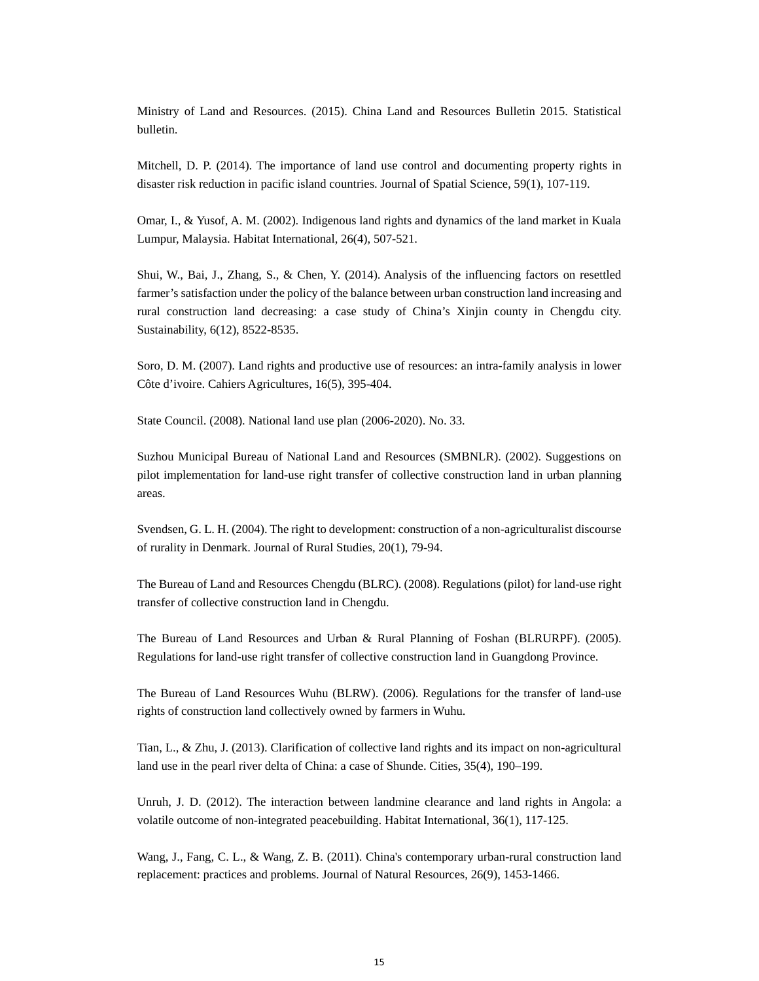Ministry of Land and Resources. (2015). China Land and Resources Bulletin 2015. Statistical bulletin.

Mitchell, D. P. (2014). The importance of land use control and documenting property rights in disaster risk reduction in pacific island countries. Journal of Spatial Science, 59(1), 107-119.

Omar, I., & Yusof, A. M. (2002). Indigenous land rights and dynamics of the land market in Kuala Lumpur, Malaysia. Habitat International, 26(4), 507-521.

Shui, W., Bai, J., Zhang, S., & Chen, Y. (2014). Analysis of the influencing factors on resettled farmer's satisfaction under the policy of the balance between urban construction land increasing and rural construction land decreasing: a case study of China's Xinjin county in Chengdu city. Sustainability, 6(12), 8522-8535.

Soro, D. M. (2007). Land rights and productive use of resources: an intra-family analysis in lower Côte d'ivoire. Cahiers Agricultures, 16(5), 395-404.

State Council. (2008). National land use plan (2006-2020). No. 33.

Suzhou Municipal Bureau of National Land and Resources (SMBNLR). (2002). Suggestions on pilot implementation for land-use right transfer of collective construction land in urban planning areas.

Svendsen, G. L. H. (2004). The right to development: construction of a non-agriculturalist discourse of rurality in Denmark. Journal of Rural Studies, 20(1), 79-94.

The Bureau of Land and Resources Chengdu (BLRC). (2008). Regulations (pilot) for land-use right transfer of collective construction land in Chengdu.

The Bureau of Land Resources and Urban & Rural Planning of Foshan (BLRURPF). (2005). Regulations for land-use right transfer of collective construction land in Guangdong Province.

The Bureau of Land Resources Wuhu (BLRW). (2006). Regulations for the transfer of land-use rights of construction land collectively owned by farmers in Wuhu.

Tian, L., & Zhu, J. (2013). Clarification of collective land rights and its impact on non-agricultural land use in the pearl river delta of China: a case of Shunde. Cities, 35(4), 190–199.

Unruh, J. D. (2012). The interaction between landmine clearance and land rights in Angola: a volatile outcome of non-integrated peacebuilding. Habitat International, 36(1), 117-125.

Wang, J., Fang, C. L., & Wang, Z. B. (2011). China's contemporary urban-rural construction land replacement: practices and problems. Journal of Natural Resources, 26(9), 1453-1466.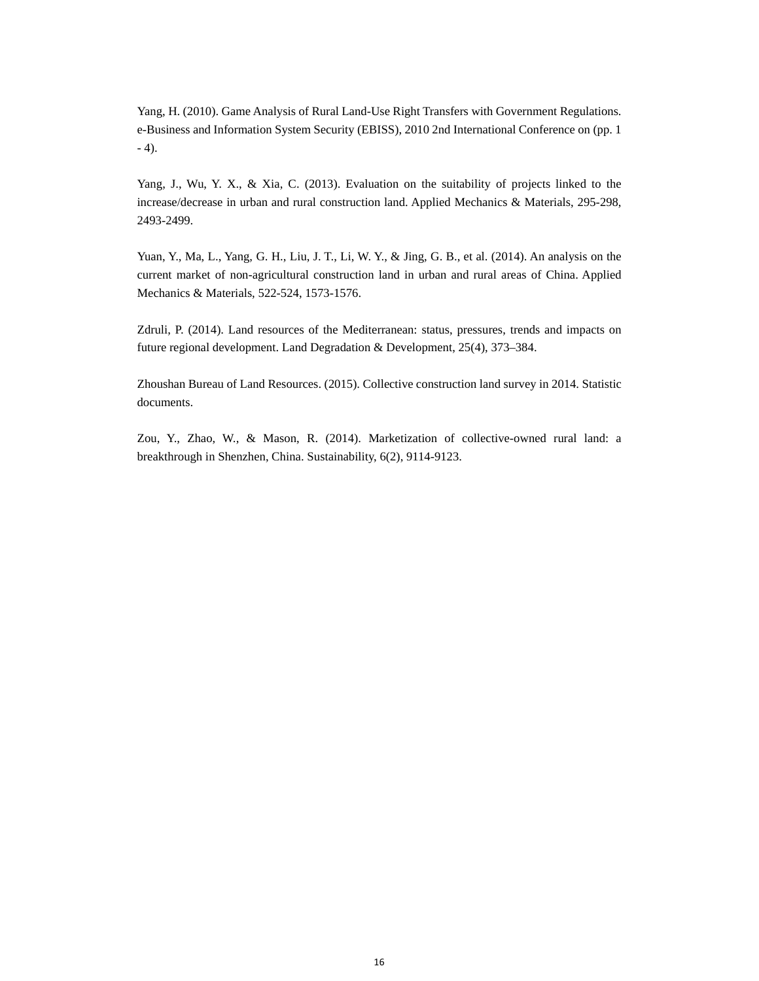Yang, H. (2010). Game Analysis of Rural Land-Use Right Transfers with Government Regulations. e-Business and Information System Security (EBISS), 2010 2nd International Conference on (pp. 1  $- 4$ ).

Yang, J., Wu, Y. X., & Xia, C. (2013). Evaluation on the suitability of projects linked to the increase/decrease in urban and rural construction land. Applied Mechanics & Materials, 295-298, 2493-2499.

Yuan, Y., Ma, L., Yang, G. H., Liu, J. T., Li, W. Y., & Jing, G. B., et al. (2014). An analysis on the current market of non-agricultural construction land in urban and rural areas of China. Applied Mechanics & Materials, 522-524, 1573-1576.

Zdruli, P. (2014). Land resources of the Mediterranean: status, pressures, trends and impacts on future regional development. Land Degradation & Development, 25(4), 373–384.

Zhoushan Bureau of Land Resources. (2015). Collective construction land survey in 2014. Statistic documents.

Zou, Y., Zhao, W., & Mason, R. (2014). Marketization of collective-owned rural land: a breakthrough in Shenzhen, China. Sustainability, 6(2), 9114-9123.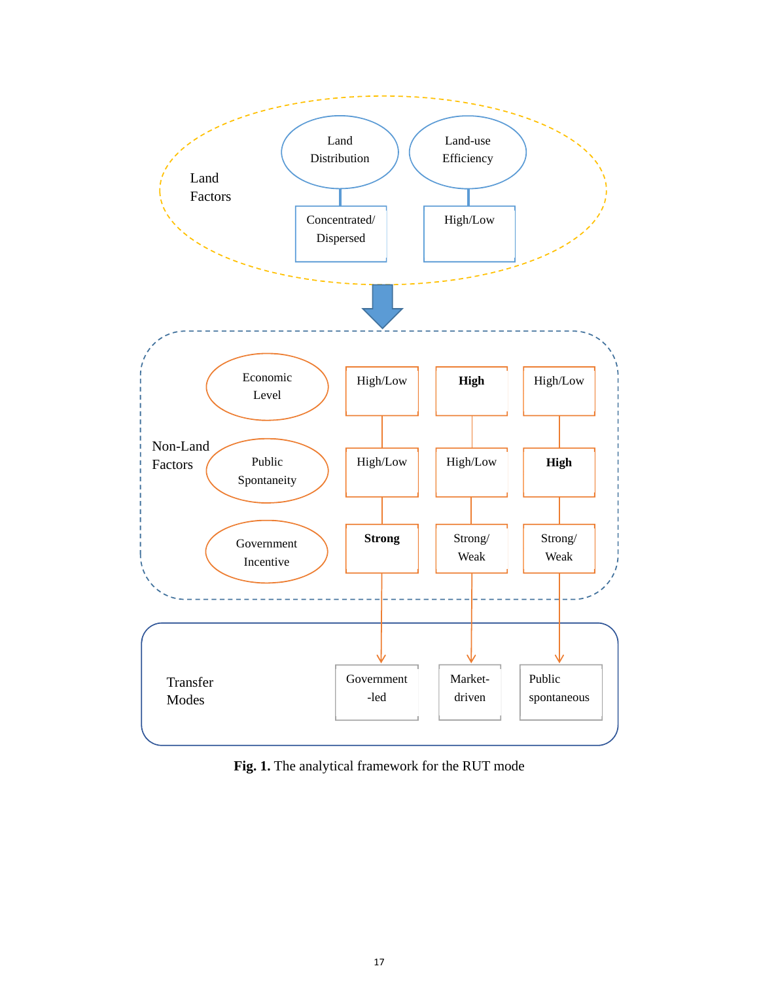

**Fig. 1.** The analytical framework for the RUT mode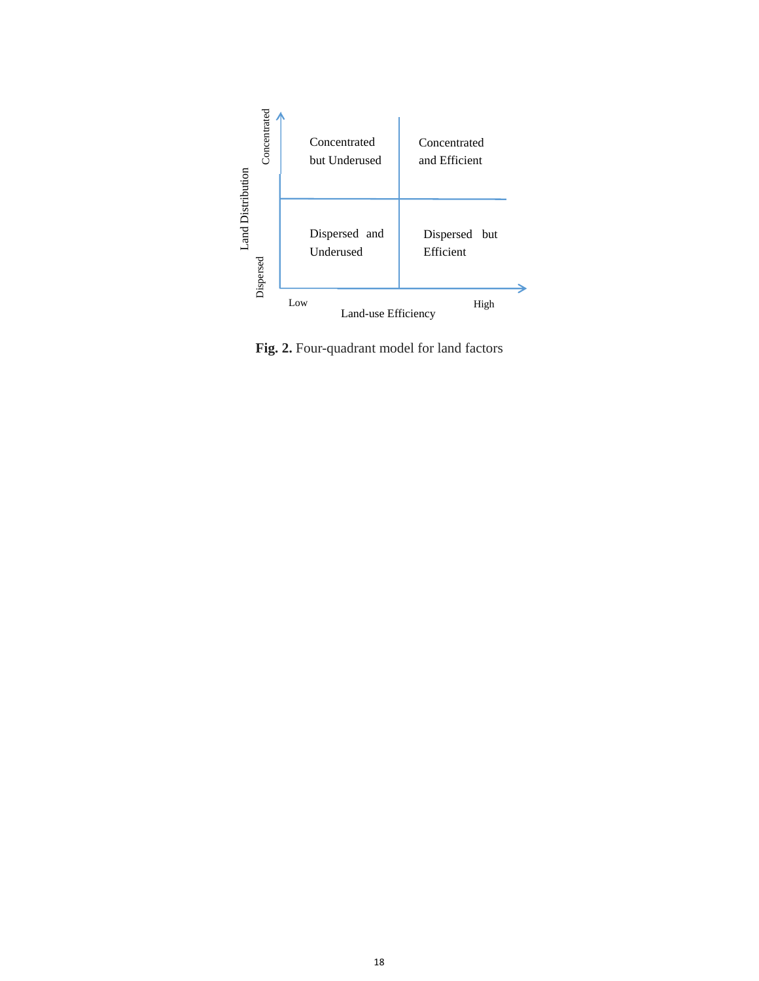

**Fig. 2.** Four-quadrant model for land factors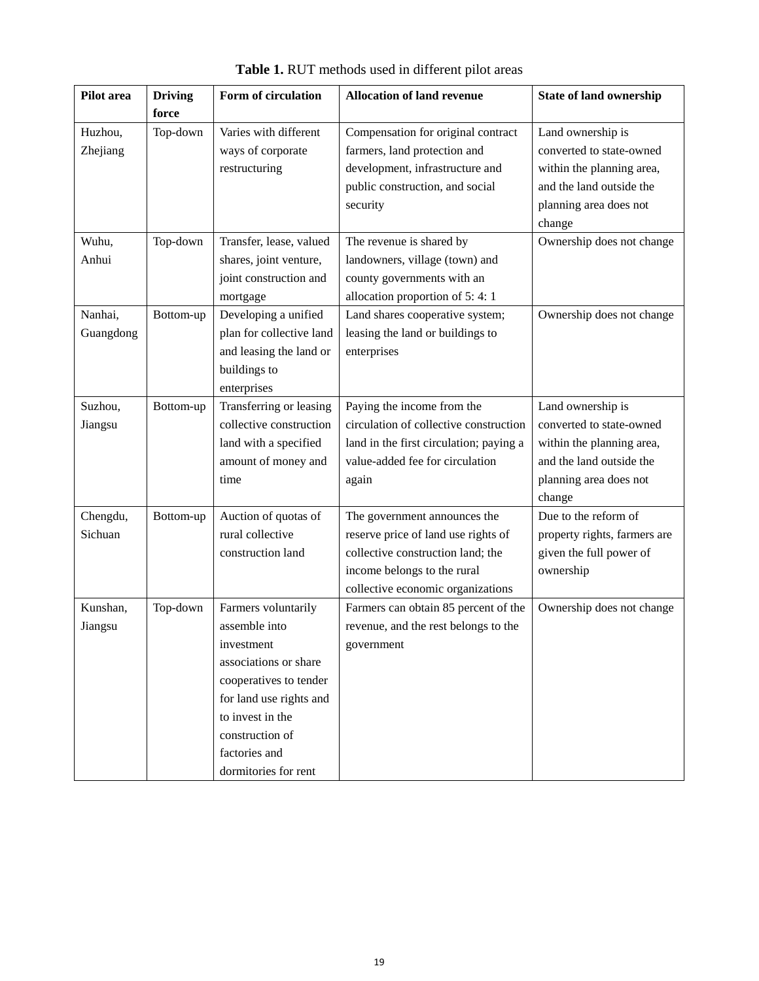| Pilot area | <b>Driving</b> | Form of circulation      | <b>Allocation of land revenue</b>       | <b>State of land ownership</b> |
|------------|----------------|--------------------------|-----------------------------------------|--------------------------------|
|            | force          |                          |                                         |                                |
| Huzhou,    | Top-down       | Varies with different    | Compensation for original contract      | Land ownership is              |
| Zhejiang   |                | ways of corporate        | farmers, land protection and            | converted to state-owned       |
|            |                | restructuring            | development, infrastructure and         | within the planning area,      |
|            |                |                          | public construction, and social         | and the land outside the       |
|            |                |                          | security                                | planning area does not         |
|            |                |                          |                                         | change                         |
| Wuhu,      | Top-down       | Transfer, lease, valued  | The revenue is shared by                | Ownership does not change      |
| Anhui      |                | shares, joint venture,   | landowners, village (town) and          |                                |
|            |                | joint construction and   | county governments with an              |                                |
|            |                | mortgage                 | allocation proportion of 5:4:1          |                                |
| Nanhai,    | Bottom-up      | Developing a unified     | Land shares cooperative system;         | Ownership does not change      |
| Guangdong  |                | plan for collective land | leasing the land or buildings to        |                                |
|            |                | and leasing the land or  | enterprises                             |                                |
|            |                | buildings to             |                                         |                                |
|            |                | enterprises              |                                         |                                |
| Suzhou,    | Bottom-up      | Transferring or leasing  | Paying the income from the              | Land ownership is              |
| Jiangsu    |                | collective construction  | circulation of collective construction  | converted to state-owned       |
|            |                | land with a specified    | land in the first circulation; paying a | within the planning area,      |
|            |                | amount of money and      | value-added fee for circulation         | and the land outside the       |
|            |                | time                     | again                                   | planning area does not         |
|            |                |                          |                                         | change                         |
| Chengdu,   | Bottom-up      | Auction of quotas of     | The government announces the            | Due to the reform of           |
| Sichuan    |                | rural collective         | reserve price of land use rights of     | property rights, farmers are   |
|            |                | construction land        | collective construction land; the       | given the full power of        |
|            |                |                          | income belongs to the rural             | ownership                      |
|            |                |                          | collective economic organizations       |                                |
| Kunshan,   | Top-down       | Farmers voluntarily      | Farmers can obtain 85 percent of the    | Ownership does not change      |
| Jiangsu    |                | assemble into            | revenue, and the rest belongs to the    |                                |
|            |                | <i>n</i> vestment        | government                              |                                |
|            |                | associations or share    |                                         |                                |
|            |                | cooperatives to tender   |                                         |                                |
|            |                | for land use rights and  |                                         |                                |
|            |                | to invest in the         |                                         |                                |
|            |                | construction of          |                                         |                                |
|            |                | factories and            |                                         |                                |
|            |                | dormitories for rent     |                                         |                                |

**Table 1.** RUT methods used in different pilot areas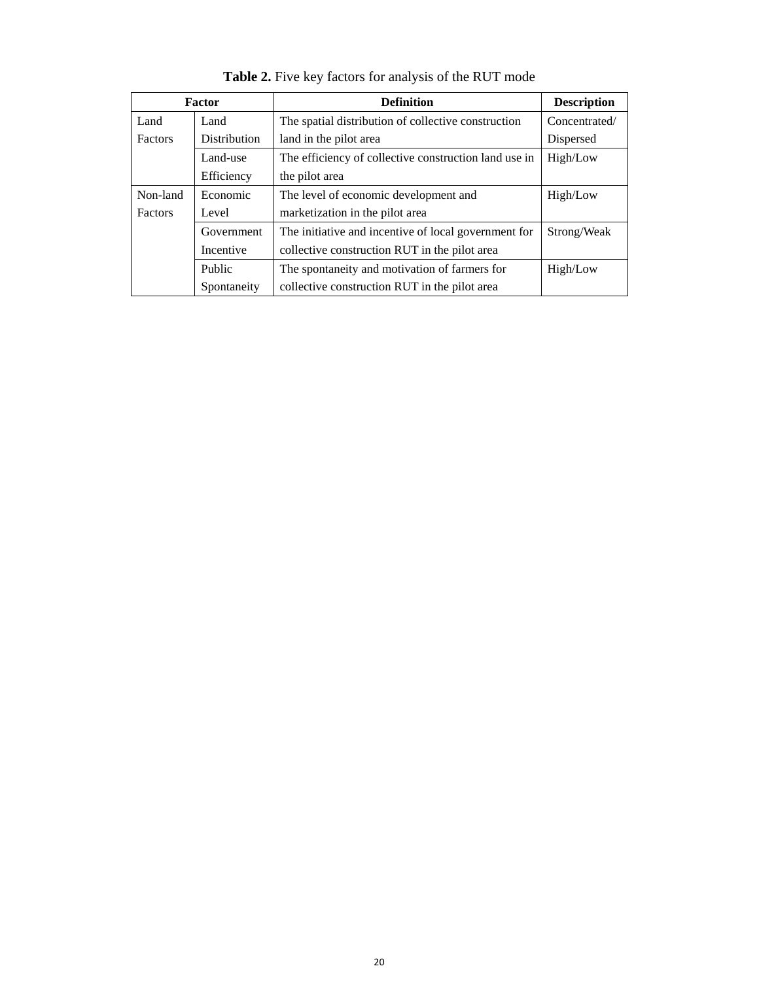| Factor         |              | <b>Definition</b>                                     | <b>Description</b> |
|----------------|--------------|-------------------------------------------------------|--------------------|
| Land           | Land         | The spatial distribution of collective construction   | Concentrated/      |
| <b>Factors</b> | Distribution | land in the pilot area                                | Dispersed          |
|                | Land-use     | The efficiency of collective construction land use in | High/Low           |
|                | Efficiency   | the pilot area                                        |                    |
| Non-land       | Economic     | The level of economic development and                 | High/Low           |
| <b>Factors</b> | Level        | marketization in the pilot area                       |                    |
|                | Government   | The initiative and incentive of local government for  | Strong/Weak        |
|                | Incentive    | collective construction RUT in the pilot area         |                    |
|                | Public       | The spontaneity and motivation of farmers for         | High/Low           |
| Spontaneity    |              | collective construction RUT in the pilot area         |                    |

**Table 2.** Five key factors for analysis of the RUT mode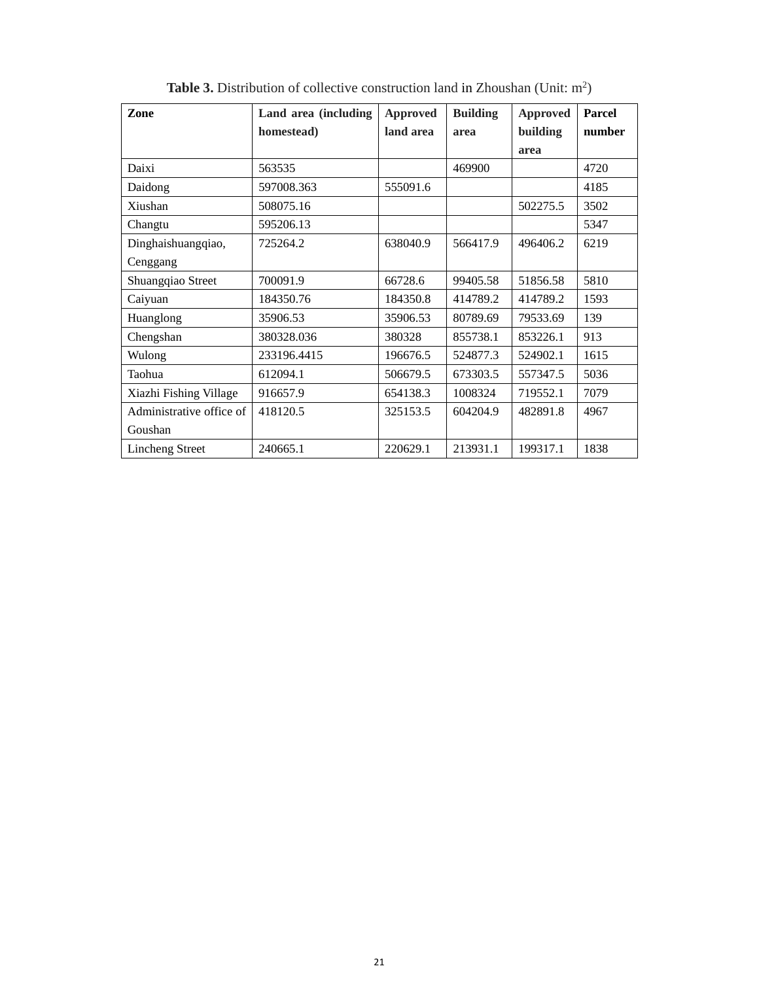| Zone                     | Land area (including | Approved  | <b>Building</b> | <b>Approved</b> | <b>Parcel</b> |
|--------------------------|----------------------|-----------|-----------------|-----------------|---------------|
|                          | homestead)           | land area | area            | building        | number        |
|                          |                      |           |                 | area            |               |
| Daixi                    | 563535               |           | 469900          |                 | 4720          |
| Daidong                  | 597008.363           | 555091.6  |                 |                 | 4185          |
| Xiushan                  | 508075.16            |           |                 | 502275.5        | 3502          |
| Changtu                  | 595206.13            |           |                 |                 | 5347          |
| Dinghaishuangqiao,       | 725264.2             | 638040.9  | 566417.9        | 496406.2        | 6219          |
| Cenggang                 |                      |           |                 |                 |               |
| Shuangqiao Street        | 700091.9             | 66728.6   | 99405.58        | 51856.58        | 5810          |
| Caiyuan                  | 184350.76            | 184350.8  | 414789.2        | 414789.2        | 1593          |
| Huanglong                | 35906.53             | 35906.53  | 80789.69        | 79533.69        | 139           |
| Chengshan                | 380328.036           | 380328    | 855738.1        | 853226.1        | 913           |
| Wulong                   | 233196.4415          | 196676.5  | 524877.3        | 524902.1        | 1615          |
| Taohua                   | 612094.1             | 506679.5  | 673303.5        | 557347.5        | 5036          |
| Xiazhi Fishing Village   | 916657.9             | 654138.3  | 1008324         | 719552.1        | 7079          |
| Administrative office of | 418120.5             | 325153.5  | 604204.9        | 482891.8        | 4967          |
| Goushan                  |                      |           |                 |                 |               |
| <b>Lincheng Street</b>   | 240665.1             | 220629.1  | 213931.1        | 199317.1        | 1838          |

Table 3. Distribution of collective construction land in Zhoushan (Unit: m<sup>2</sup>)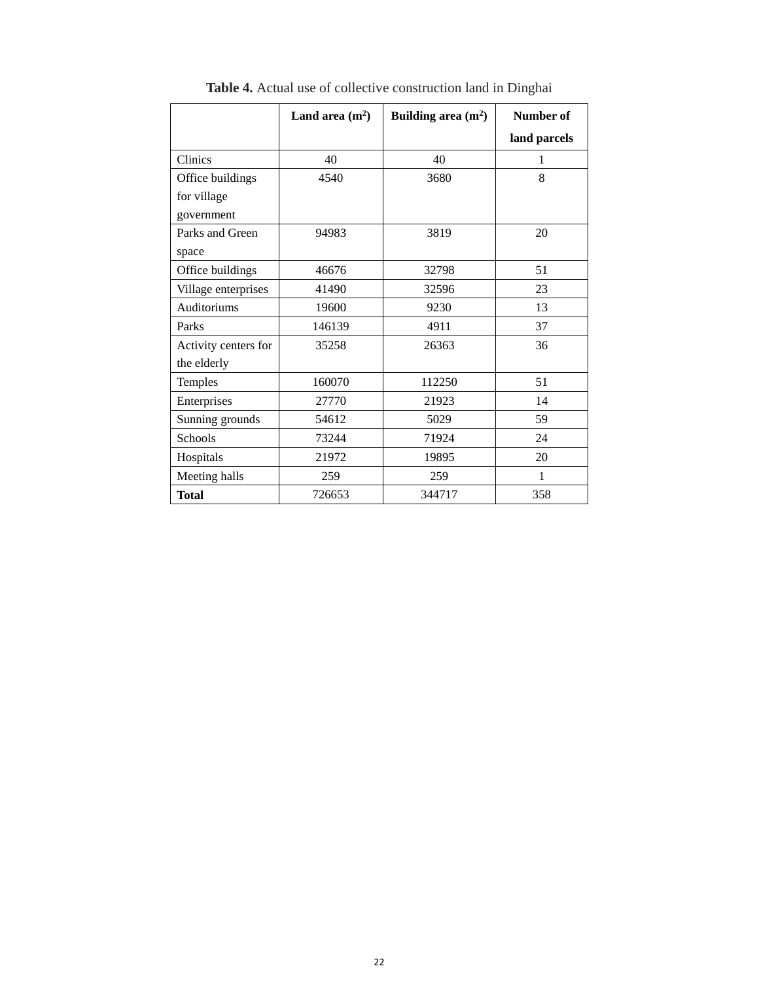|                      | Land area $(m^2)$ | Building area $(m^2)$ | Number of    |
|----------------------|-------------------|-----------------------|--------------|
|                      |                   |                       | land parcels |
| Clinics              | 40                | 40                    | 1            |
| Office buildings     | 4540              | 3680                  | 8            |
| for village          |                   |                       |              |
| government           |                   |                       |              |
| Parks and Green      | 94983             | 3819                  | 20           |
| space                |                   |                       |              |
| Office buildings     | 46676             | 32798                 | 51           |
| Village enterprises  | 41490             | 32596                 | 23           |
| Auditoriums          | 19600             | 9230                  | 13           |
| Parks                | 146139            | 4911                  | 37           |
| Activity centers for | 35258             | 26363                 | 36           |
| the elderly          |                   |                       |              |
| Temples              | 160070            | 112250                | 51           |
| Enterprises          | 27770             | 21923                 | 14           |
| Sunning grounds      | 54612             | 5029                  | 59           |
| <b>Schools</b>       | 73244             | 71924                 | 24           |
| Hospitals            | 21972             | 19895                 | 20           |
| Meeting halls        | 259               | 259                   | 1            |
| <b>Total</b>         | 726653            | 344717                | 358          |

**Table 4.** Actual use of collective construction land in Dinghai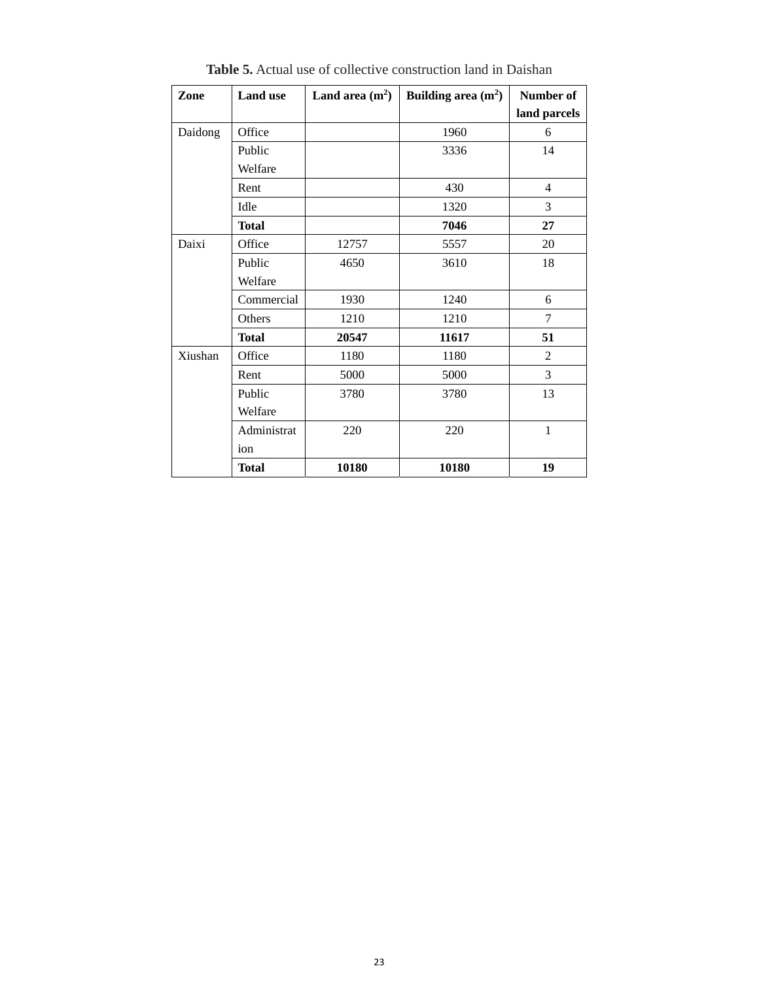| Zone    | <b>Land use</b> | Land area $(m^2)$ | Building area $(m2)$ | Number of      |
|---------|-----------------|-------------------|----------------------|----------------|
|         |                 |                   |                      | land parcels   |
| Daidong | Office          |                   | 1960                 | 6              |
|         | Public          |                   | 3336                 | 14             |
|         | Welfare         |                   |                      |                |
|         | Rent            |                   | 430                  | $\overline{4}$ |
|         | Idle            |                   | 1320                 | 3              |
|         | <b>Total</b>    |                   | 7046                 | 27             |
| Daixi   | Office          | 12757             | 5557                 | 20             |
|         | Public          | 4650              | 3610                 | 18             |
|         | Welfare         |                   |                      |                |
|         | Commercial      | 1930              | 1240                 | 6              |
|         | Others          | 1210              | 1210                 | $\tau$         |
|         | <b>Total</b>    | 20547             | 11617                | 51             |
| Xiushan | Office          | 1180              | 1180                 | $\overline{2}$ |
|         | Rent            | 5000              | 5000                 | $\overline{3}$ |
|         | Public          | 3780              | 3780                 | 13             |
|         | Welfare         |                   |                      |                |
|         | Administrat     | 220               | 220                  | $\mathbf{1}$   |
|         | ion             |                   |                      |                |
|         | <b>Total</b>    | 10180             | 10180                | 19             |

**Table 5.** Actual use of collective construction land in Daishan